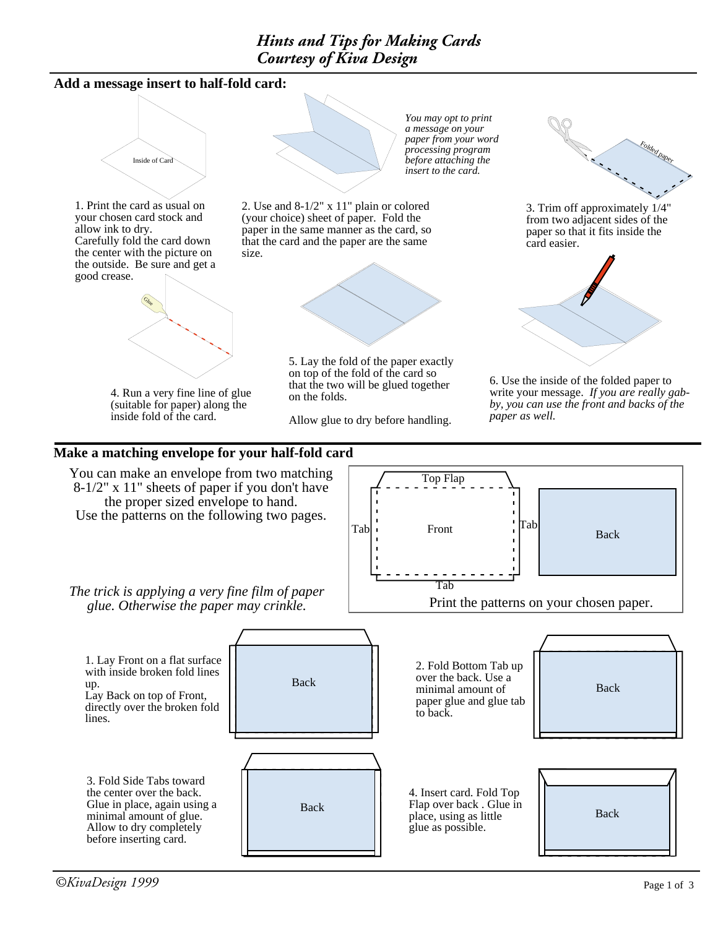## **Add a message insert to half-fold card:**



1. Print the card as usual on your chosen card stock and allow ink to dry. Carefully fold the card down the center with the picture on the outside. Be sure and get a good crease.



4. Run a very fine line of glue (suitable for paper) along the inside fold of the card.



2. Use and 8-1/2" x 11" plain or colored (your choice) sheet of paper. Fold the paper in the same manner as the card, so that the card and the paper are the same size.



5. Lay the fold of the paper exactly on top of the fold of the card so that the two will be glued together on the folds.

Allow glue to dry before handling.



3. Trim off approximately 1/4" from two adjacent sides of the paper so that it fits inside the card easier.



6. Use the inside of the folded paper to write your message. *If you are really gabby, you can use the front and backs of the paper as well.*

## **Make a matching envelope for your half-fold card**

You can make an envelope from two matching 8-1/2" x 11" sheets of paper if you don't have the proper sized envelope to hand. Use the patterns on the following two pages.



*The trick is applying a very fine film of paper*

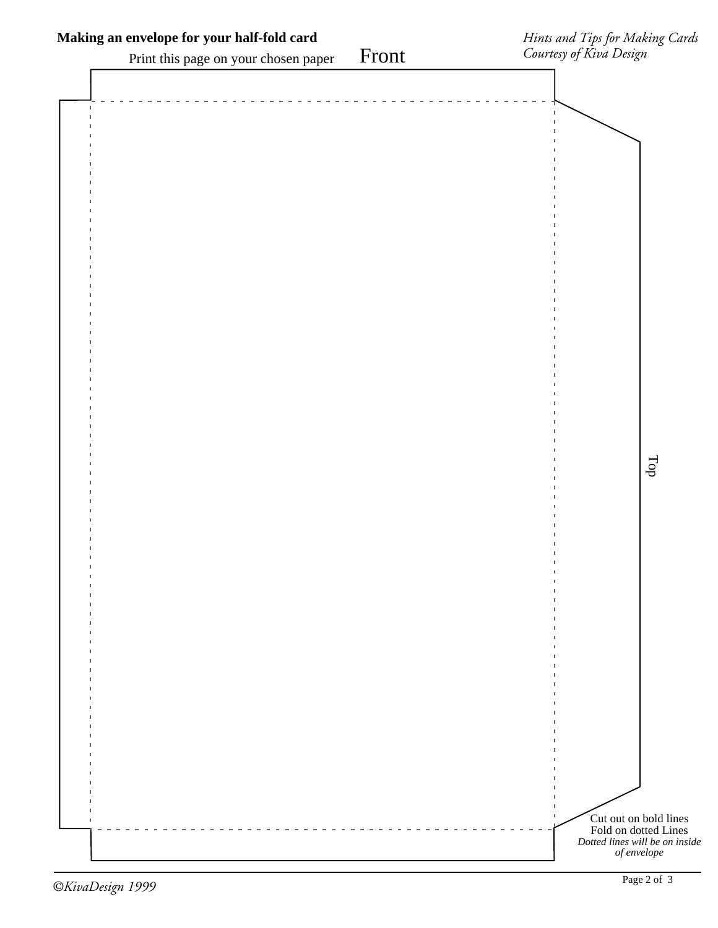